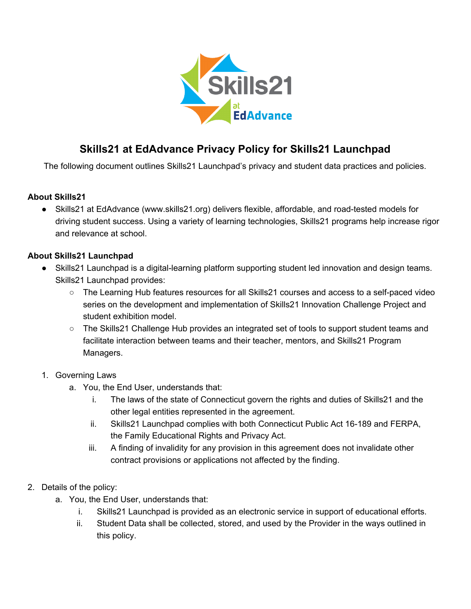

## **Skills21 at EdAdvance Privacy Policy for Skills21 Launchpad**

The following document outlines Skills21 Launchpad's privacy and student data practices and policies.

## **About Skills21**

● Skills21 at EdAdvance (www.skills21.org) delivers flexible, affordable, and road-tested models for driving student success. Using a variety of learning technologies, Skills21 programs help increase rigor and relevance at school.

## **About Skills21 Launchpad**

- Skills21 Launchpad is a digital-learning platform supporting student led innovation and design teams. Skills21 Launchpad provides:
	- The Learning Hub features resources for all Skills21 courses and access to a self-paced video series on the development and implementation of Skills21 Innovation Challenge Project and student exhibition model.
	- The Skills21 Challenge Hub provides an integrated set of tools to support student teams and facilitate interaction between teams and their teacher, mentors, and Skills21 Program Managers.
- 1. Governing Laws
	- a. You, the End User, understands that:
		- i. The laws of the state of Connecticut govern the rights and duties of Skills21 and the other legal entities represented in the agreement.
		- ii. Skills21 Launchpad complies with both Connecticut Public Act 16-189 and FERPA, the Family Educational Rights and Privacy Act.
		- iii. A finding of invalidity for any provision in this agreement does not invalidate other contract provisions or applications not affected by the finding.
- 2. Details of the policy:
	- a. You, the End User, understands that:
		- i. Skills21 Launchpad is provided as an electronic service in support of educational efforts.
		- ii. Student Data shall be collected, stored, and used by the Provider in the ways outlined in this policy.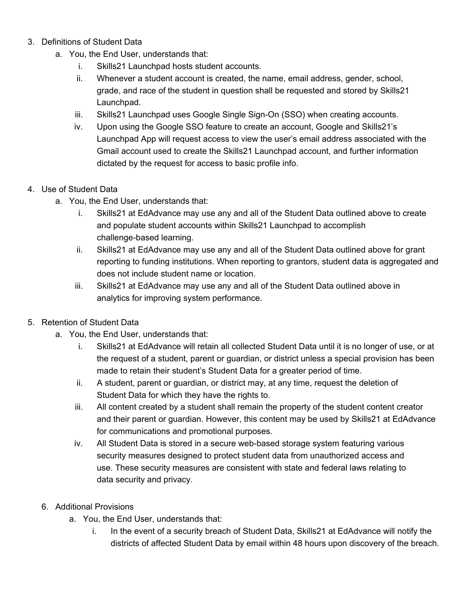- 3. Definitions of Student Data
	- a. You, the End User, understands that:
		- i. Skills21 Launchpad hosts student accounts.
		- ii. Whenever a student account is created, the name, email address, gender, school, grade, and race of the student in question shall be requested and stored by Skills21 Launchpad.
		- iii. Skills21 Launchpad uses Google Single Sign-On (SSO) when creating accounts.
		- iv. Upon using the Google SSO feature to create an account, Google and Skills21's Launchpad App will request access to view the user's email address associated with the Gmail account used to create the Skills21 Launchpad account, and further information dictated by the request for access to basic profile info.

## 4. Use of Student Data

- a. You, the End User, understands that:
	- i. Skills21 at EdAdvance may use any and all of the Student Data outlined above to create and populate student accounts within Skills21 Launchpad to accomplish challenge-based learning.
	- ii. Skills21 at EdAdvance may use any and all of the Student Data outlined above for grant reporting to funding institutions. When reporting to grantors, student data is aggregated and does not include student name or location.
	- iii. Skills21 at EdAdvance may use any and all of the Student Data outlined above in analytics for improving system performance.
- 5. Retention of Student Data
	- a. You, the End User, understands that:
		- i. Skills21 at EdAdvance will retain all collected Student Data until it is no longer of use, or at the request of a student, parent or guardian, or district unless a special provision has been made to retain their student's Student Data for a greater period of time.
		- ii. A student, parent or guardian, or district may, at any time, request the deletion of Student Data for which they have the rights to.
		- iii. All content created by a student shall remain the property of the student content creator and their parent or guardian. However, this content may be used by Skills21 at EdAdvance for communications and promotional purposes.
		- iv. All Student Data is stored in a secure web-based storage system featuring various security measures designed to protect student data from unauthorized access and use. These security measures are consistent with state and federal laws relating to data security and privacy.
	- 6. Additional Provisions
		- a. You, the End User, understands that:
			- i. In the event of a security breach of Student Data, Skills21 at EdAdvance will notify the districts of affected Student Data by email within 48 hours upon discovery of the breach.